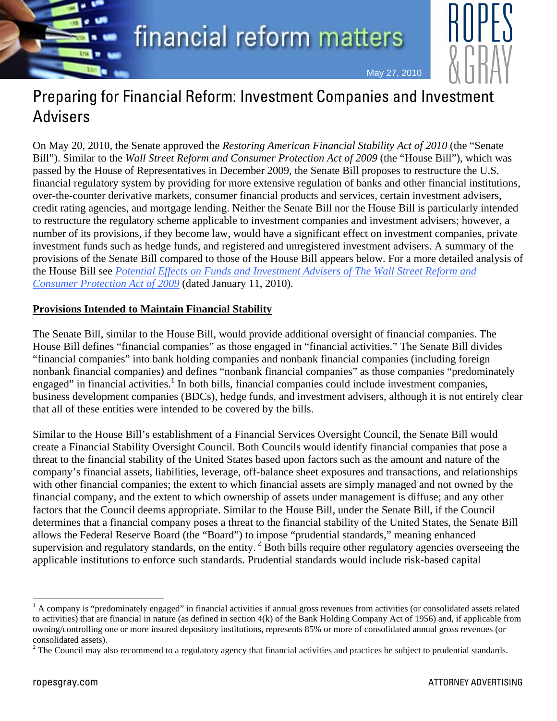financial reform matters



May 27, 2010

Preparing for Financial Reform: Investment Companies and Investment Advisers

On May 20, 2010, the Senate approved the *Restoring American Financial Stability Act of 2010* (the "Senate Bill"). Similar to the *Wall Street Reform and Consumer Protection Act of 2009* (the "House Bill"), which was passed by the House of Representatives in December 2009, the Senate Bill proposes to restructure the U.S. financial regulatory system by providing for more extensive regulation of banks and other financial institutions, over-the-counter derivative markets, consumer financial products and services, certain investment advisers, credit rating agencies, and mortgage lending. Neither the Senate Bill nor the House Bill is particularly intended to restructure the regulatory scheme applicable to investment companies and investment advisers; however, a number of its provisions, if they become law, would have a significant effect on investment companies, private investment funds such as hedge funds, and registered and unregistered investment advisers. A summary of the provisions of the Senate Bill compared to those of the House Bill appears below. For a more detailed analysis of the House Bill see *[Potential Effects on Funds and Investment Advisers of The Wall Street Reform and](http://www.ropesgray.com/files/Publication/11ae9149-4b59-4456-b15b-0e76fc718724/Presentation/PublicationAttachment/5b840e99-4303-4080-965a-5ce86d4a470f/RopesGray_Alert_wallstreetreformconsumerprotectionact.pdf)  [Consumer Protection Act of 2009](http://www.ropesgray.com/files/Publication/11ae9149-4b59-4456-b15b-0e76fc718724/Presentation/PublicationAttachment/5b840e99-4303-4080-965a-5ce86d4a470f/RopesGray_Alert_wallstreetreformconsumerprotectionact.pdf)* (dated January 11, 2010).

## **Provisions Intended to Maintain Financial Stability**

The Senate Bill, similar to the House Bill, would provide additional oversight of financial companies. The House Bill defines "financial companies" as those engaged in "financial activities." The Senate Bill divides "financial companies" into bank holding companies and nonbank financial companies (including foreign nonbank financial companies) and defines "nonbank financial companies" as those companies "predominately engaged" in financial activities.<sup>1</sup> In both bills, financial companies could include investment companies, business development companies (BDCs), hedge funds, and investment advisers, although it is not entirely clear that all of these entities were intended to be covered by the bills.

Similar to the House Bill's establishment of a Financial Services Oversight Council, the Senate Bill would create a Financial Stability Oversight Council. Both Councils would identify financial companies that pose a threat to the financial stability of the United States based upon factors such as the amount and nature of the company's financial assets, liabilities, leverage, off-balance sheet exposures and transactions, and relationships with other financial companies; the extent to which financial assets are simply managed and not owned by the financial company, and the extent to which ownership of assets under management is diffuse; and any other factors that the Council deems appropriate. Similar to the House Bill, under the Senate Bill, if the Council determines that a financial company poses a threat to the financial stability of the United States, the Senate Bill allows the Federal Reserve Board (the "Board") to impose "prudential standards," meaning enhanced supervision and regulatory standards, on the entity.<sup>2</sup> Both bills require other regulatory agencies overseeing the applicable institutions to enforce such standards. Prudential standards would include risk-based capital

 $<sup>1</sup>$  A company is "predominately engaged" in financial activities if annual gross revenues from activities (or consolidated assets related</sup> to activities) that are financial in nature (as defined in section 4(k) of the Bank Holding Company Act of 1956) and, if applicable from owning/controlling one or more insured depository institutions, represents 85% or more of consolidated annual gross revenues (or consolidated assets).

 $2^2$  The Council may also recommend to a regulatory agency that financial activities and practices be subject to prudential standards.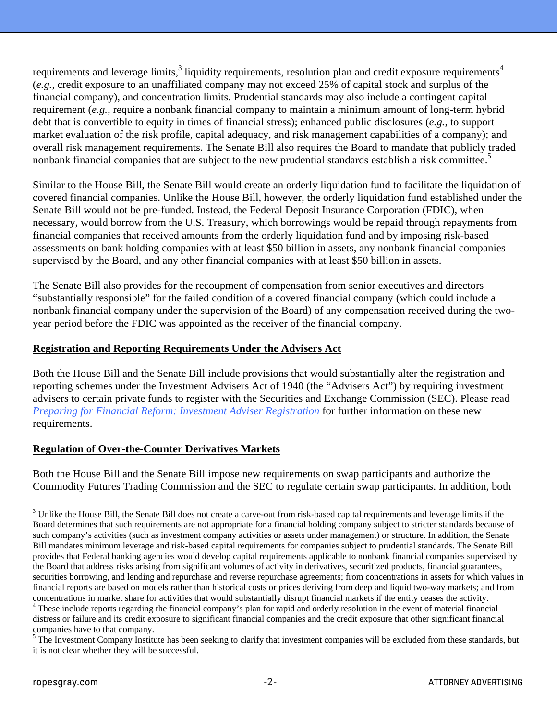requirements and leverage limits,<sup>3</sup> liquidity requirements, resolution plan and credit exposure requirements<sup>4</sup> (*e.g.*, credit exposure to an unaffiliated company may not exceed 25% of capital stock and surplus of the financial company), and concentration limits. Prudential standards may also include a contingent capital requirement (*e.g.*, require a nonbank financial company to maintain a minimum amount of long-term hybrid debt that is convertible to equity in times of financial stress); enhanced public disclosures (*e.g.*, to support market evaluation of the risk profile, capital adequacy, and risk management capabilities of a company); and overall risk management requirements. The Senate Bill also requires the Board to mandate that publicly traded nonbank financial companies that are subject to the new prudential standards establish a risk committee.<sup>5</sup>

Similar to the House Bill, the Senate Bill would create an orderly liquidation fund to facilitate the liquidation of covered financial companies. Unlike the House Bill, however, the orderly liquidation fund established under the Senate Bill would not be pre-funded. Instead, the Federal Deposit Insurance Corporation (FDIC), when necessary, would borrow from the U.S. Treasury, which borrowings would be repaid through repayments from financial companies that received amounts from the orderly liquidation fund and by imposing risk-based assessments on bank holding companies with at least \$50 billion in assets, any nonbank financial companies supervised by the Board, and any other financial companies with at least \$50 billion in assets.

The Senate Bill also provides for the recoupment of compensation from senior executives and directors "substantially responsible" for the failed condition of a covered financial company (which could include a nonbank financial company under the supervision of the Board) of any compensation received during the twoyear period before the FDIC was appointed as the receiver of the financial company.

## **Registration and Reporting Requirements Under the Advisers Act**

Both the House Bill and the Senate Bill include provisions that would substantially alter the registration and reporting schemes under the Investment Advisers Act of 1940 (the "Advisers Act") by requiring investment advisers to certain private funds to register with the Securities and Exchange Commission (SEC). Please read *[Preparing for Financial Reform: Investment Adviser Registration](http://www.ropesgray.com/files/upload/InvestmentAdviser.pdf)* for further information on these new requirements.

## **Regulation of Over-the-Counter Derivatives Markets**

Both the House Bill and the Senate Bill impose new requirements on swap participants and authorize the Commodity Futures Trading Commission and the SEC to regulate certain swap participants. In addition, both

 $3$  Unlike the House Bill, the Senate Bill does not create a carve-out from risk-based capital requirements and leverage limits if the Board determines that such requirements are not appropriate for a financial holding company subject to stricter standards because of such company's activities (such as investment company activities or assets under management) or structure. In addition, the Senate Bill mandates minimum leverage and risk-based capital requirements for companies subject to prudential standards. The Senate Bill provides that Federal banking agencies would develop capital requirements applicable to nonbank financial companies supervised by the Board that address risks arising from significant volumes of activity in derivatives, securitized products, financial guarantees, securities borrowing, and lending and repurchase and reverse repurchase agreements; from concentrations in assets for which values in financial reports are based on models rather than historical costs or prices deriving from deep and liquid two-way markets; and from concentrations in market share for activities that would substantially disrupt financial markets if the entity ceases the activity. 4 <sup>4</sup> These include reports regarding the financial company's plan for rapid and orderly resolution in the event of material financial distress or failure and its credit exposure to significant financial companies and the credit exposure that other significant financial

companies have to that company.

 $<sup>5</sup>$  The Investment Company Institute has been seeking to clarify that investment companies will be excluded from these standards, but</sup> it is not clear whether they will be successful.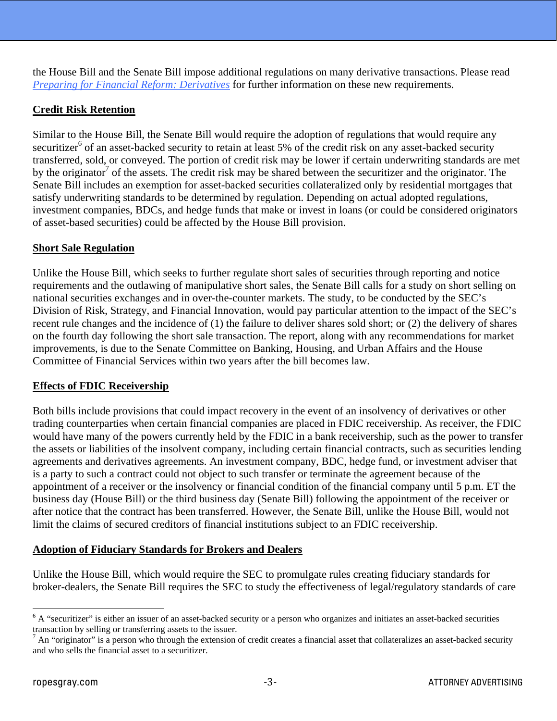the House Bill and the Senate Bill impose additional regulations on many derivative transactions. Please read *[Preparing for Financial Reform: Derivatives](http://www.ropesgray.com/files/upload/Derivatives.pdf)* for further information on these new requirements.

## **Credit Risk Retention**

Similar to the House Bill, the Senate Bill would require the adoption of regulations that would require any securitizer<sup>6</sup> of an asset-backed security to retain at least 5% of the credit risk on any asset-backed security transferred, sold, or conveyed. The portion of credit risk may be lower if certain underwriting standards are met by the originator<sup>7</sup> of the assets. The credit risk may be shared between the securitizer and the originator. The Senate Bill includes an exemption for asset-backed securities collateralized only by residential mortgages that satisfy underwriting standards to be determined by regulation. Depending on actual adopted regulations, investment companies, BDCs, and hedge funds that make or invest in loans (or could be considered originators of asset-based securities) could be affected by the House Bill provision.

#### **Short Sale Regulation**

Unlike the House Bill, which seeks to further regulate short sales of securities through reporting and notice requirements and the outlawing of manipulative short sales, the Senate Bill calls for a study on short selling on national securities exchanges and in over-the-counter markets. The study, to be conducted by the SEC's Division of Risk, Strategy, and Financial Innovation, would pay particular attention to the impact of the SEC's recent rule changes and the incidence of (1) the failure to deliver shares sold short; or (2) the delivery of shares on the fourth day following the short sale transaction. The report, along with any recommendations for market improvements, is due to the Senate Committee on Banking, Housing, and Urban Affairs and the House Committee of Financial Services within two years after the bill becomes law.

#### **Effects of FDIC Receivership**

Both bills include provisions that could impact recovery in the event of an insolvency of derivatives or other trading counterparties when certain financial companies are placed in FDIC receivership. As receiver, the FDIC would have many of the powers currently held by the FDIC in a bank receivership, such as the power to transfer the assets or liabilities of the insolvent company, including certain financial contracts, such as securities lending agreements and derivatives agreements. An investment company, BDC, hedge fund, or investment adviser that is a party to such a contract could not object to such transfer or terminate the agreement because of the appointment of a receiver or the insolvency or financial condition of the financial company until 5 p.m. ET the business day (House Bill) or the third business day (Senate Bill) following the appointment of the receiver or after notice that the contract has been transferred. However, the Senate Bill, unlike the House Bill, would not limit the claims of secured creditors of financial institutions subject to an FDIC receivership.

#### **Adoption of Fiduciary Standards for Brokers and Dealers**

Unlike the House Bill, which would require the SEC to promulgate rules creating fiduciary standards for broker-dealers, the Senate Bill requires the SEC to study the effectiveness of legal/regulatory standards of care

 $6$  A "securitizer" is either an issuer of an asset-backed security or a person who organizes and initiates an asset-backed securities transaction by selling or transferring assets to the issuer.

 $<sup>7</sup>$  An "originator" is a person who through the extension of credit creates a financial asset that collateralizes an asset-backed security</sup> and who sells the financial asset to a securitizer.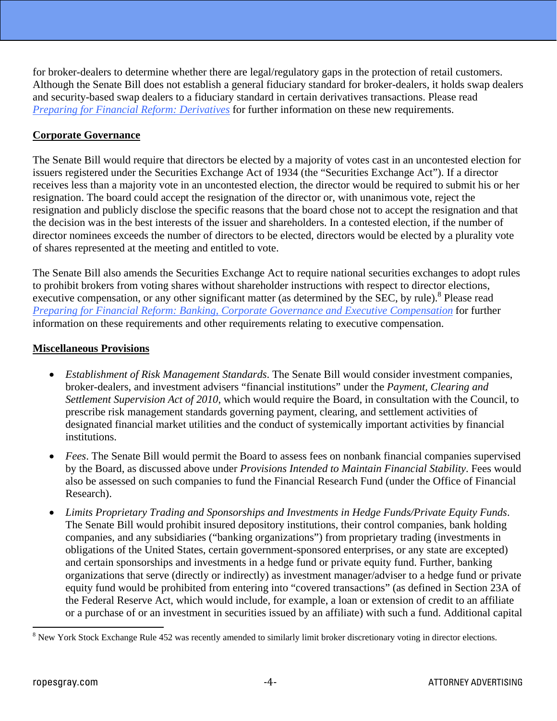for broker-dealers to determine whether there are legal/regulatory gaps in the protection of retail customers. Although the Senate Bill does not establish a general fiduciary standard for broker-dealers, it holds swap dealers and security-based swap dealers to a fiduciary standard in certain derivatives transactions. Please read *[Preparing for Financial Reform: Derivatives](http://www.ropesgray.com/files/upload/Derivatives.pdf)* for further information on these new requirements.

# **Corporate Governance**

The Senate Bill would require that directors be elected by a majority of votes cast in an uncontested election for issuers registered under the Securities Exchange Act of 1934 (the "Securities Exchange Act"). If a director receives less than a majority vote in an uncontested election, the director would be required to submit his or her resignation. The board could accept the resignation of the director or, with unanimous vote, reject the resignation and publicly disclose the specific reasons that the board chose not to accept the resignation and that the decision was in the best interests of the issuer and shareholders. In a contested election, if the number of director nominees exceeds the number of directors to be elected, directors would be elected by a plurality vote of shares represented at the meeting and entitled to vote.

The Senate Bill also amends the Securities Exchange Act to require national securities exchanges to adopt rules to prohibit brokers from voting shares without shareholder instructions with respect to director elections, executive compensation, or any other significant matter (as determined by the SEC, by rule).<sup>8</sup> Please read *[Preparing for Financial Reform: Banking, Corporate Governance and Executive Compensation](http://www.ropesgray.com/files/upload/BankingCorporateGovernance.pdf)* for further information on these requirements and other requirements relating to executive compensation.

## **Miscellaneous Provisions**

- *Establishment of Risk Management Standards*. The Senate Bill would consider investment companies, broker-dealers, and investment advisers "financial institutions" under the *Payment, Clearing and Settlement Supervision Act of 2010*, which would require the Board, in consultation with the Council, to prescribe risk management standards governing payment, clearing, and settlement activities of designated financial market utilities and the conduct of systemically important activities by financial institutions.
- *Fees*. The Senate Bill would permit the Board to assess fees on nonbank financial companies supervised by the Board, as discussed above under *Provisions Intended to Maintain Financial Stability*. Fees would also be assessed on such companies to fund the Financial Research Fund (under the Office of Financial Research).
- *Limits Proprietary Trading and Sponsorships and Investments in Hedge Funds/Private Equity Funds*. The Senate Bill would prohibit insured depository institutions, their control companies, bank holding companies, and any subsidiaries ("banking organizations") from proprietary trading (investments in obligations of the United States, certain government-sponsored enterprises, or any state are excepted) and certain sponsorships and investments in a hedge fund or private equity fund. Further, banking organizations that serve (directly or indirectly) as investment manager/adviser to a hedge fund or private equity fund would be prohibited from entering into "covered transactions" (as defined in Section 23A of the Federal Reserve Act, which would include, for example, a loan or extension of credit to an affiliate or a purchase of or an investment in securities issued by an affiliate) with such a fund. Additional capital

 $8$  New York Stock Exchange Rule 452 was recently amended to similarly limit broker discretionary voting in director elections.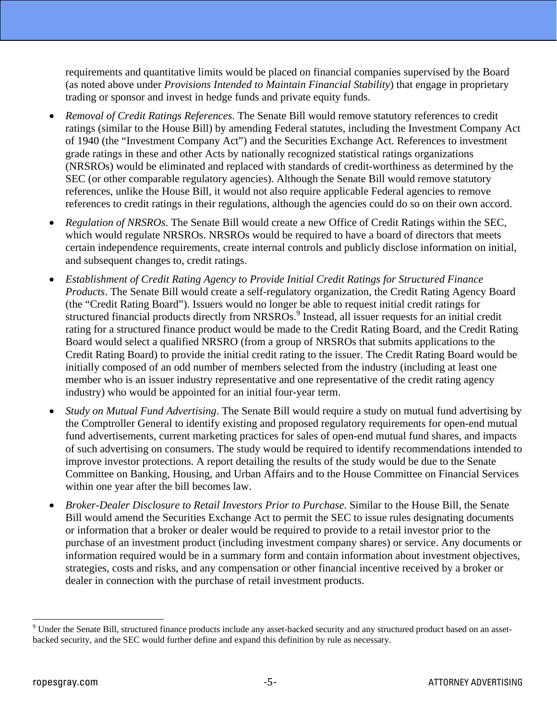requirements and quantitative limits would be placed on financial companies supervised by the Board (as noted above under *Provisions Intended to Maintain Financial Stability*) that engage in proprietary trading or sponsor and invest in hedge funds and private equity funds.

- *Removal of Credit Ratings References*. The Senate Bill would remove statutory references to credit ratings (similar to the House Bill) by amending Federal statutes, including the Investment Company Act of 1940 (the "Investment Company Act") and the Securities Exchange Act. References to investment grade ratings in these and other Acts by nationally recognized statistical ratings organizations (NRSROs) would be eliminated and replaced with standards of credit-worthiness as determined by the SEC (or other comparable regulatory agencies). Although the Senate Bill would remove statutory references, unlike the House Bill, it would not also require applicable Federal agencies to remove references to credit ratings in their regulations, although the agencies could do so on their own accord.
- *Regulation of NRSROs*. The Senate Bill would create a new Office of Credit Ratings within the SEC, which would regulate NRSROs. NRSROs would be required to have a board of directors that meets certain independence requirements, create internal controls and publicly disclose information on initial, and subsequent changes to, credit ratings.
- *Establishment of Credit Rating Agency to Provide Initial Credit Ratings for Structured Finance Products*. The Senate Bill would create a self-regulatory organization, the Credit Rating Agency Board (the "Credit Rating Board"). Issuers would no longer be able to request initial credit ratings for structured financial products directly from NRSROs.<sup>9</sup> Instead, all issuer requests for an initial credit rating for a structured finance product would be made to the Credit Rating Board, and the Credit Rating Board would select a qualified NRSRO (from a group of NRSROs that submits applications to the Credit Rating Board) to provide the initial credit rating to the issuer. The Credit Rating Board would be initially composed of an odd number of members selected from the industry (including at least one member who is an issuer industry representative and one representative of the credit rating agency industry) who would be appointed for an initial four-year term.
- *Study on Mutual Fund Advertising*. The Senate Bill would require a study on mutual fund advertising by the Comptroller General to identify existing and proposed regulatory requirements for open-end mutual fund advertisements, current marketing practices for sales of open-end mutual fund shares, and impacts of such advertising on consumers. The study would be required to identify recommendations intended to improve investor protections. A report detailing the results of the study would be due to the Senate Committee on Banking, Housing, and Urban Affairs and to the House Committee on Financial Services within one year after the bill becomes law.
- *Broker-Dealer Disclosure to Retail Investors Prior to Purchase*. Similar to the House Bill, the Senate Bill would amend the Securities Exchange Act to permit the SEC to issue rules designating documents or information that a broker or dealer would be required to provide to a retail investor prior to the purchase of an investment product (including investment company shares) or service. Any documents or information required would be in a summary form and contain information about investment objectives, strategies, costs and risks, and any compensation or other financial incentive received by a broker or dealer in connection with the purchase of retail investment products.

<sup>&</sup>lt;sup>9</sup> Under the Senate Bill, structured finance products include any asset-backed security and any structured product based on an assetbacked security, and the SEC would further define and expand this definition by rule as necessary.